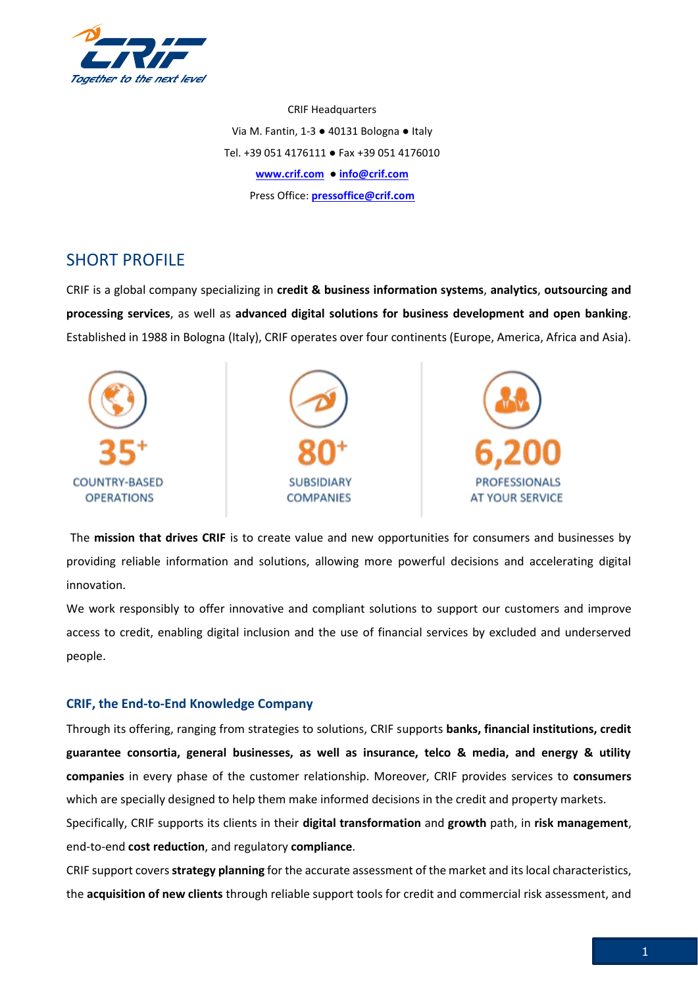

CRIF Headquarters Via M. Fantin, 1-3 ● 40131 Bologna ● Italy Tel. +39 051 4176111 ● Fax +39 051 4176010 **[www.crif.com](http://www.crif.com/)** ● **[info@crif.com](mailto:info@crif.com)** Press Office: **[pressoffice@crif.com](mailto:pressoffice@crif.com)**

## SHORT PROFILE

CRIF is a global company specializing in **credit & business information systems**, **analytics**, **outsourcing and processing services**, as well as **advanced digital solutions for business development and open banking**. Established in 1988 in Bologna (Italy), CRIF operates over four continents (Europe, America, Africa and Asia).



The **mission that drives CRIF** is to create value and new opportunities for consumers and businesses by providing reliable information and solutions, allowing more powerful decisions and accelerating digital innovation.

We work responsibly to offer innovative and compliant solutions to support our customers and improve access to credit, enabling digital inclusion and the use of financial services by excluded and underserved people.

## **CRIF, the End-to-End Knowledge Company**

Through its offering, ranging from strategies to solutions, CRIF supports **banks, financial institutions, credit guarantee consortia, general businesses, as well as insurance, telco & media, and energy & utility companies** in every phase of the customer relationship. Moreover, CRIF provides services to **consumers** which are specially designed to help them make informed decisions in the credit and property markets.

Specifically, CRIF supports its clients in their **digital transformation** and **growth** path, in **risk management**, end-to-end **cost reduction**, and regulatory **compliance**.

CRIF support covers **strategy planning** for the accurate assessment of the market and its local characteristics, the **acquisition of new clients** through reliable support tools for credit and commercial risk assessment, and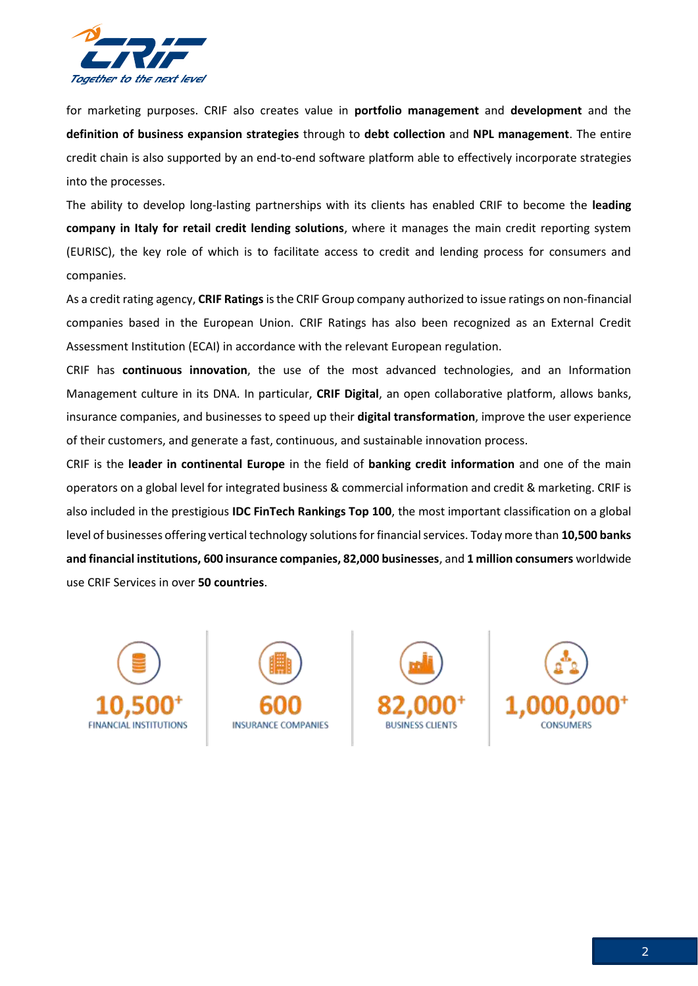

for marketing purposes. CRIF also creates value in **portfolio management** and **development** and the **definition of business expansion strategies** through to **debt collection** and **NPL management**. The entire credit chain is also supported by an end-to-end software platform able to effectively incorporate strategies into the processes.

The ability to develop long-lasting partnerships with its clients has enabled CRIF to become the **leading company in Italy for retail credit lending solutions**, where it manages the main credit reporting system (EURISC), the key role of which is to facilitate access to credit and lending process for consumers and companies.

As a credit rating agency, **CRIF Ratings**is the CRIF Group company authorized to issue ratings on non-financial companies based in the European Union. CRIF Ratings has also been recognized as an External Credit Assessment Institution (ECAI) in accordance with the relevant European regulation.

CRIF has **continuous innovation**, the use of the most advanced technologies, and an Information Management culture in its DNA. In particular, **CRIF Digital**, an open collaborative platform, allows banks, insurance companies, and businesses to speed up their **digital transformation**, improve the user experience of their customers, and generate a fast, continuous, and sustainable innovation process.

CRIF is the **leader in continental Europe** in the field of **banking credit information** and one of the main operators on a global level for integrated business & commercial information and credit & marketing. CRIF is also included in the prestigious **IDC FinTech Rankings Top 100**, the most important classification on a global level of businesses offering vertical technology solutions for financial services. Today more than **10,500 banks and financial institutions, 600 insurance companies, 82,000 businesses**, and **1 million consumers** worldwide use CRIF Services in over **50 countries**.







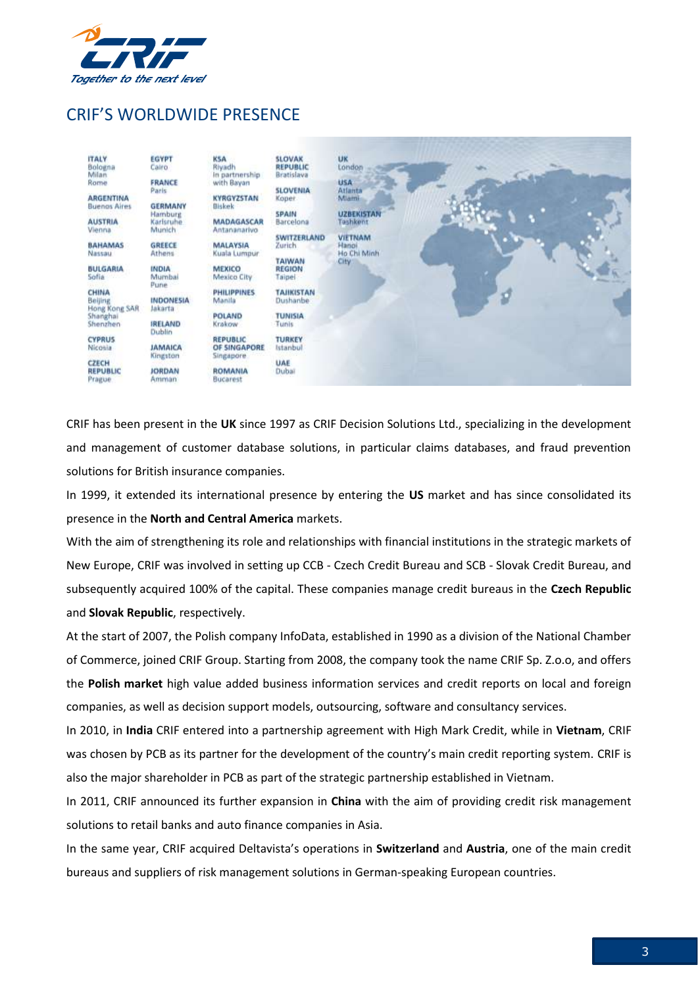

## CRIF'S WORLDWIDE PRESENCE



CRIF has been present in the **UK** since 1997 as CRIF Decision Solutions Ltd., specializing in the development and management of customer database solutions, in particular claims databases, and fraud prevention solutions for British insurance companies.

In 1999, it extended its international presence by entering the **US** market and has since consolidated its presence in the **North and Central America** markets.

With the aim of strengthening its role and relationships with financial institutions in the strategic markets of New Europe, CRIF was involved in setting up CCB - Czech Credit Bureau and SCB - Slovak Credit Bureau, and subsequently acquired 100% of the capital. These companies manage credit bureaus in the **Czech Republic** and **Slovak Republic**, respectively.

At the start of 2007, the Polish company InfoData, established in 1990 as a division of the National Chamber of Commerce, joined CRIF Group. Starting from 2008, the company took the name CRIF Sp. Z.o.o, and offers the **Polish market** high value added business information services and credit reports on local and foreign companies, as well as decision support models, outsourcing, software and consultancy services.

In 2010, in **India** CRIF entered into a partnership agreement with High Mark Credit, while in **Vietnam**, CRIF was chosen by PCB as its partner for the development of the country's main credit reporting system. CRIF is also the major shareholder in PCB as part of the strategic partnership established in Vietnam.

In 2011, CRIF announced its further expansion in **China** with the aim of providing credit risk management solutions to retail banks and auto finance companies in Asia.

In the same year, CRIF acquired Deltavista's operations in **Switzerland** and **Austria**, one of the main credit bureaus and suppliers of risk management solutions in German-speaking European countries.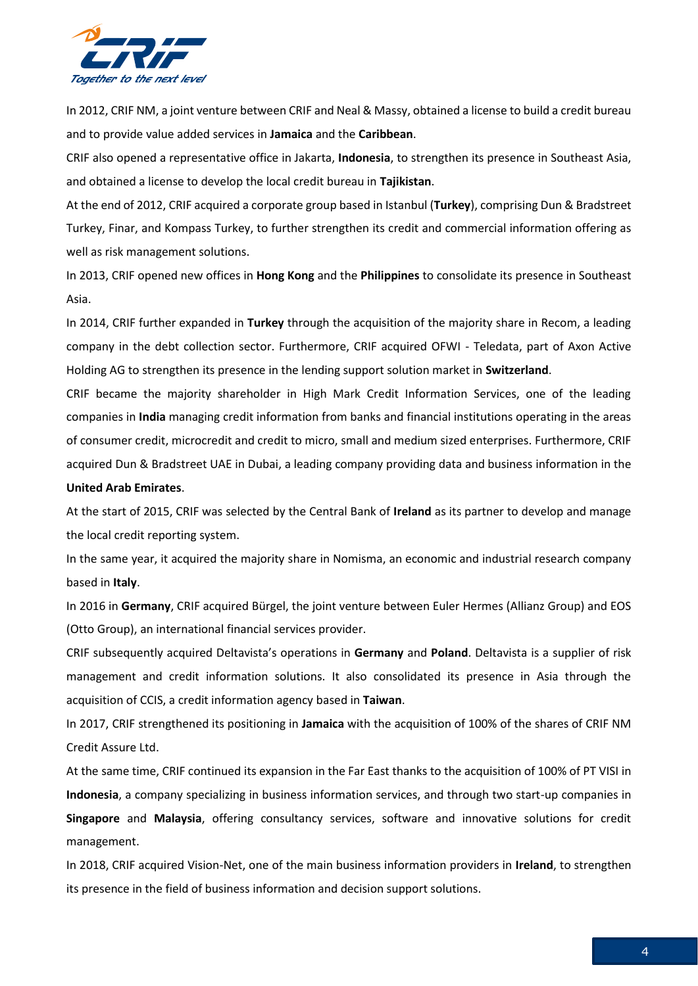

In 2012, CRIF NM, a joint venture between CRIF and Neal & Massy, obtained a license to build a credit bureau and to provide value added services in **Jamaica** and the **Caribbean**.

CRIF also opened a representative office in Jakarta, **Indonesia**, to strengthen its presence in Southeast Asia, and obtained a license to develop the local credit bureau in **Tajikistan**.

At the end of 2012, CRIF acquired a corporate group based in Istanbul (**Turkey**), comprising Dun & Bradstreet Turkey, Finar, and Kompass Turkey, to further strengthen its credit and commercial information offering as well as risk management solutions.

In 2013, CRIF opened new offices in **Hong Kong** and the **Philippines** to consolidate its presence in Southeast Asia.

In 2014, CRIF further expanded in **Turkey** through the acquisition of the majority share in Recom, a leading company in the debt collection sector. Furthermore, CRIF acquired OFWI - Teledata, part of Axon Active Holding AG to strengthen its presence in the lending support solution market in **Switzerland**.

CRIF became the majority shareholder in High Mark Credit Information Services, one of the leading companies in **India** managing credit information from banks and financial institutions operating in the areas of consumer credit, microcredit and credit to micro, small and medium sized enterprises. Furthermore, CRIF acquired Dun & Bradstreet UAE in Dubai, a leading company providing data and business information in the

## **United Arab Emirates**.

At the start of 2015, CRIF was selected by the Central Bank of **Ireland** as its partner to develop and manage the local credit reporting system.

In the same year, it acquired the majority share in Nomisma, an economic and industrial research company based in **Italy**.

In 2016 in **Germany**, CRIF acquired Bürgel, the joint venture between Euler Hermes (Allianz Group) and EOS (Otto Group), an international financial services provider.

CRIF subsequently acquired Deltavista's operations in **Germany** and **Poland**. Deltavista is a supplier of risk management and credit information solutions. It also consolidated its presence in Asia through the acquisition of CCIS, a credit information agency based in **Taiwan**.

In 2017, CRIF strengthened its positioning in **Jamaica** with the acquisition of 100% of the shares of CRIF NM Credit Assure Ltd.

At the same time, CRIF continued its expansion in the Far East thanks to the acquisition of 100% of PT VISI in **Indonesia**, a company specializing in business information services, and through two start-up companies in **Singapore** and **Malaysia**, offering consultancy services, software and innovative solutions for credit management.

In 2018, CRIF acquired Vision-Net, one of the main business information providers in **Ireland**, to strengthen its presence in the field of business information and decision support solutions.